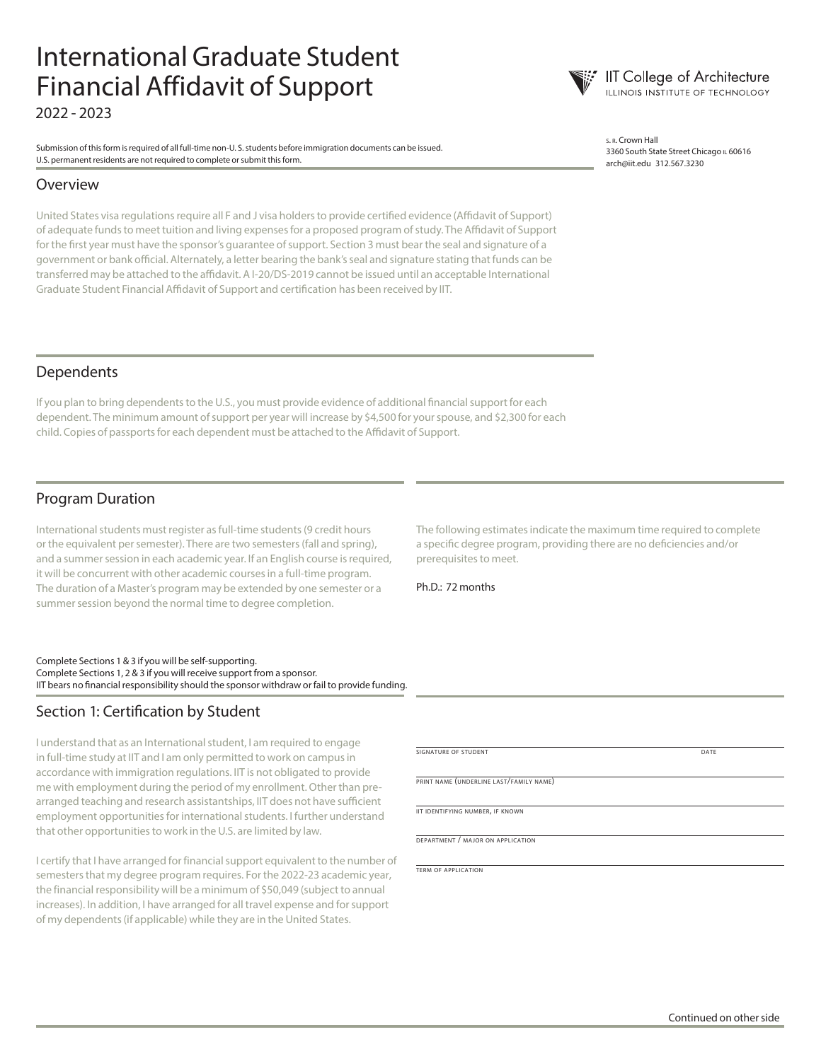## International Graduate Student Financial Affidavit of Support 2022 - 2023

Submission of this form is required of all full-time non-U. S. students before immigration documents can be issued. U.S. permanent residents are not required to complete or submit this form.

#### Overview

United States visa regulations require all F and J visa holders to provide certified evidence (Affidavit of Support) of adequate funds to meet tuition and living expenses for a proposed program of study. The Affidavit of Support for the first year must have the sponsor's guarantee of support. Section 3 must bear the seal and signature of a government or bank official. Alternately, a letter bearing the bank's seal and signature stating that funds can be transferred may be attached to the affidavit. A I-20/DS-2019 cannot be issued until an acceptable International Graduate Student Financial Affidavit of Support and certification has been received by IIT.

<sup>s</sup>. r. Crown Hall 3360 South State Street Chicago IL 60616 arch@iit.edu 312.567.3230

**IIT College of Architecture**<br>**ILLINOIS INSTITUTE OF TECHNOLOGY** 

#### Dependents

If you plan to bring dependents to the U.S., you must provide evidence of additional financial support for each dependent. The minimum amount of support per year will increase by \$4,500 for your spouse, and \$2,300 for each child. Copies of passports for each dependent must be attached to the Affidavit of Support.

#### Program Duration

International students must register as full-time students (9 credit hours or the equivalent per semester). There are two semesters (fall and spring), and a summer session in each academic year. If an English course is required, it will be concurrent with other academic courses in a full-time program. The duration of a Master's program may be extended by one semester or a summer session beyond the normal time to degree completion.

Complete Sections 1 & 3 if you will be self-supporting. Complete Sections 1, 2 & 3 if you will receive support from a sponsor. IIT bears no financial responsibility should the sponsor withdraw or fail to provide funding.

#### Section 1: Certification by Student

I understand that as an International student, I am required to engage in full-time study at IIT and I am only permitted to work on campus in accordance with immigration regulations. IIT is not obligated to provide me with employment during the period of my enrollment. Other than prearranged teaching and research assistantships, IIT does not have sufficient employment opportunities for international students. I further understand that other opportunities to work in the U.S. are limited by law.

I certify that I have arranged for financial support equivalent to the number of semesters that my degree program requires. For the 2022-23 academic year, the financial responsibility will be a minimum of \$50,049 (subject to annual increases). In addition, I have arranged for all travel expense and for support of my dependents (if applicable) while they are in the United States.

The following estimates indicate the maximum time required to complete a specific degree program, providing there are no deficiencies and/or prerequisites to meet.

Ph.D.: 72 months

signature of student date and date and date and date and date and date and date and date and date and date and date

print name (underline last/family name)

iit identifying number, if known

department / major on application

term of application